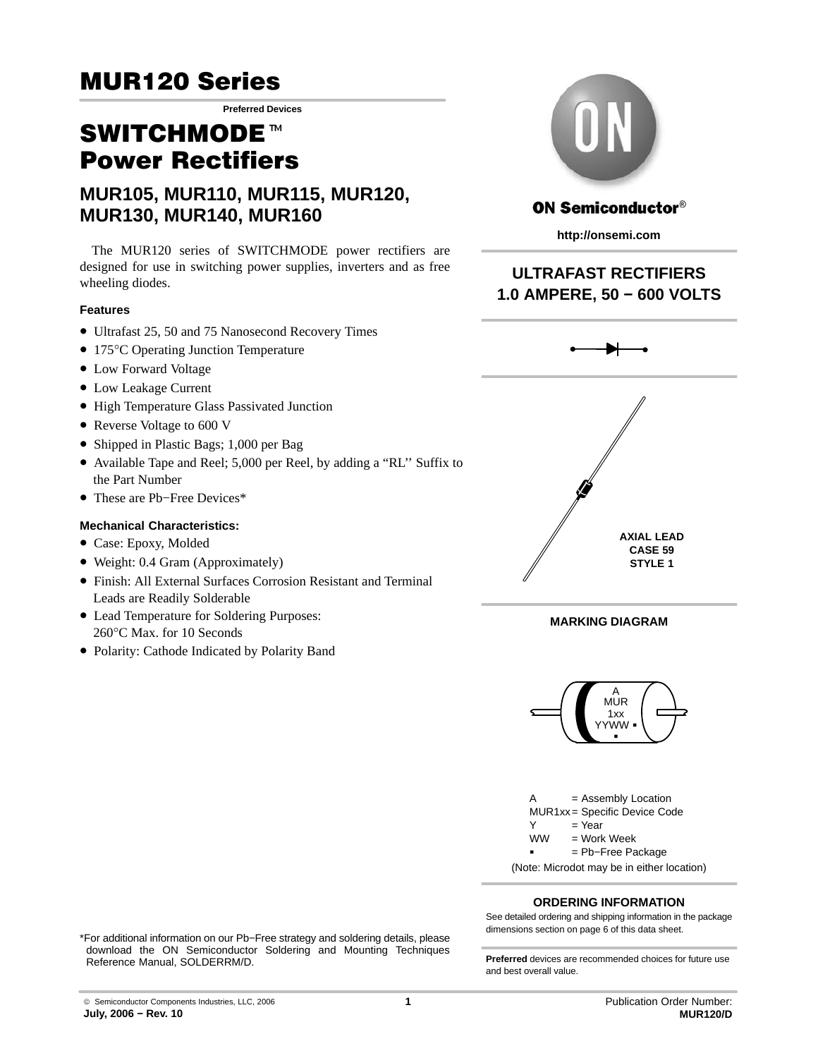**Preferred Devices**

# SWITCHMODE<sup>™</sup> Power Rectifiers

## **MUR105, MUR110, MUR115, MUR120, MUR130, MUR140, MUR160**

The MUR120 series of SWITCHMODE power rectifiers are designed for use in switching power supplies, inverters and as free wheeling diodes.

### **Features**

- Ultrafast 25, 50 and 75 Nanosecond Recovery Times
- 175°C Operating Junction Temperature
- Low Forward Voltage
- Low Leakage Current
- High Temperature Glass Passivated Junction
- Reverse Voltage to 600 V
- Shipped in Plastic Bags; 1,000 per Bag
- Available Tape and Reel; 5,000 per Reel, by adding a "RL'' Suffix to the Part Number
- These are Pb−Free Devices\*

#### **Mechanical Characteristics:**

- Case: Epoxy, Molded
- Weight: 0.4 Gram (Approximately)
- Finish: All External Surfaces Corrosion Resistant and Terminal Leads are Readily Solderable
- Lead Temperature for Soldering Purposes: 260°C Max. for 10 Seconds
- Polarity: Cathode Indicated by Polarity Band



## **ON Semiconductor®**

**http://onsemi.com**

## **ULTRAFAST RECTIFIERS 1.0 AMPERE, 50 − 600 VOLTS**



#### **MARKING DIAGRAM**





#### **ORDERING INFORMATION**

See detailed ordering and shipping information in the package dimensions section on page [6 of this data sheet.](#page-5-0)

\*For additional information on our Pb−Free strategy and soldering details, please download the ON Semiconductor Soldering and Mounting Techniques Reference Manual, SOLDERRM/D. **Preferred** devices are recommended choices for future use

and best overall value.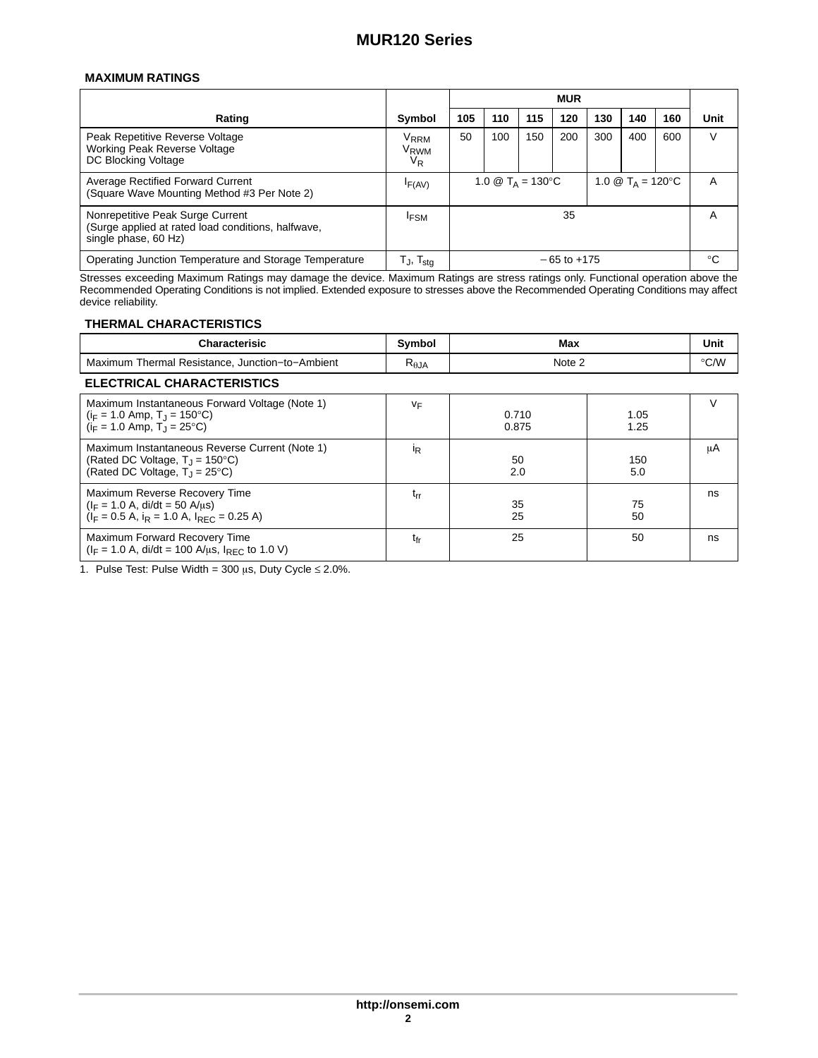#### **MAXIMUM RATINGS**

|                                                                                                                |                                                        | <b>MUR</b>                                                                         |     |     |     |     |     |     |      |
|----------------------------------------------------------------------------------------------------------------|--------------------------------------------------------|------------------------------------------------------------------------------------|-----|-----|-----|-----|-----|-----|------|
| Rating                                                                                                         | Symbol                                                 | 105                                                                                | 110 | 115 | 120 | 130 | 140 | 160 | Unit |
| Peak Repetitive Reverse Voltage<br>Working Peak Reverse Voltage<br>DC Blocking Voltage                         | <b>V</b> <sub>RRM</sub><br>V <sub>RWM</sub><br>$V_{R}$ | 50                                                                                 | 100 | 150 | 200 | 300 | 400 | 600 | V    |
| Average Rectified Forward Current<br>(Square Wave Mounting Method #3 Per Note 2)                               | IF(AV)                                                 | 1.0 $\circledR$ T <sub>A</sub> = 120 °C<br>1.0 $\circledR$ T <sub>A</sub> = 130 °C |     |     |     | A   |     |     |      |
| Nonrepetitive Peak Surge Current<br>(Surge applied at rated load conditions, halfwave,<br>single phase, 60 Hz) | <b>IFSM</b>                                            | 35                                                                                 |     |     |     | A   |     |     |      |
| Operating Junction Temperature and Storage Temperature                                                         | $T_{\sf J},\, T_{\sf stg}$                             | $-65$ to $+175$                                                                    |     |     |     | °C  |     |     |      |

Stresses exceeding Maximum Ratings may damage the device. Maximum Ratings are stress ratings only. Functional operation above the Recommended Operating Conditions is not implied. Extended exposure to stresses above the Recommended Operating Conditions may affect device reliability.

#### **THERMAL CHARACTERISTICS**

| <b>Characterisic</b>                            | Symbol          | Max    | Unit          |  |  |  |  |
|-------------------------------------------------|-----------------|--------|---------------|--|--|--|--|
| Maximum Thermal Resistance, Junction-to-Ambient | $R_{\theta,JA}$ | Note 2 | $\degree$ C/W |  |  |  |  |
| <b>ELECTRICAL CHARACTERISTICS</b>               |                 |        |               |  |  |  |  |

| Maximum Instantaneous Forward Voltage (Note 1)<br>$(i_F = 1.0$ Amp, T <sub>J</sub> = 150 <sup>o</sup> C)<br>$(i_F = 1.0$ Amp, $T_J = 25^{\circ}C$ | VF              | 0.710<br>0.875 | 1.05<br>1.25 |    |
|---------------------------------------------------------------------------------------------------------------------------------------------------|-----------------|----------------|--------------|----|
| Maximum Instantaneous Reverse Current (Note 1)<br>(Rated DC Voltage, $T_{\rm J}$ = 150°C)<br>(Rated DC Voltage, $T_1 = 25^{\circ}C$ )             | <sup>I</sup> R  | 50<br>2.0      | 150<br>5.0   | μA |
| Maximum Reverse Recovery Time<br>$(I_F = 1.0 A, \text{di/dt} = 50 A/ \mu s)$<br>$(I_F = 0.5 A, i_R = 1.0 A, I_{RFC} = 0.25 A)$                    | t <sub>rr</sub> | 35<br>25       | 75<br>50     | ns |
| Maximum Forward Recovery Time<br>$(I_F = 1.0 A, \text{ di/dt} = 100 A/\mu s, I_{RFC}$ to 1.0 V)                                                   | t <sub>fr</sub> | 25             | 50           | ns |

1. Pulse Test: Pulse Width =  $300 \mu s$ , Duty Cycle  $\leq 2.0\%$ .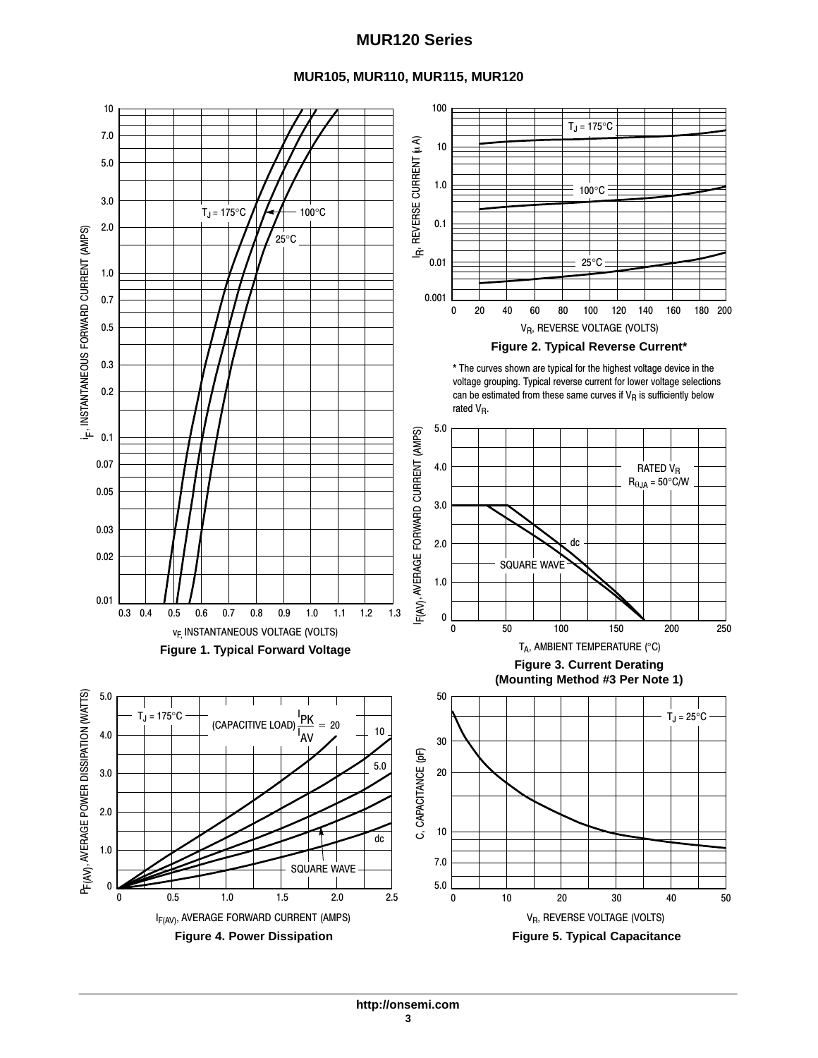## **MUR105, MUR110, MUR115, MUR120**

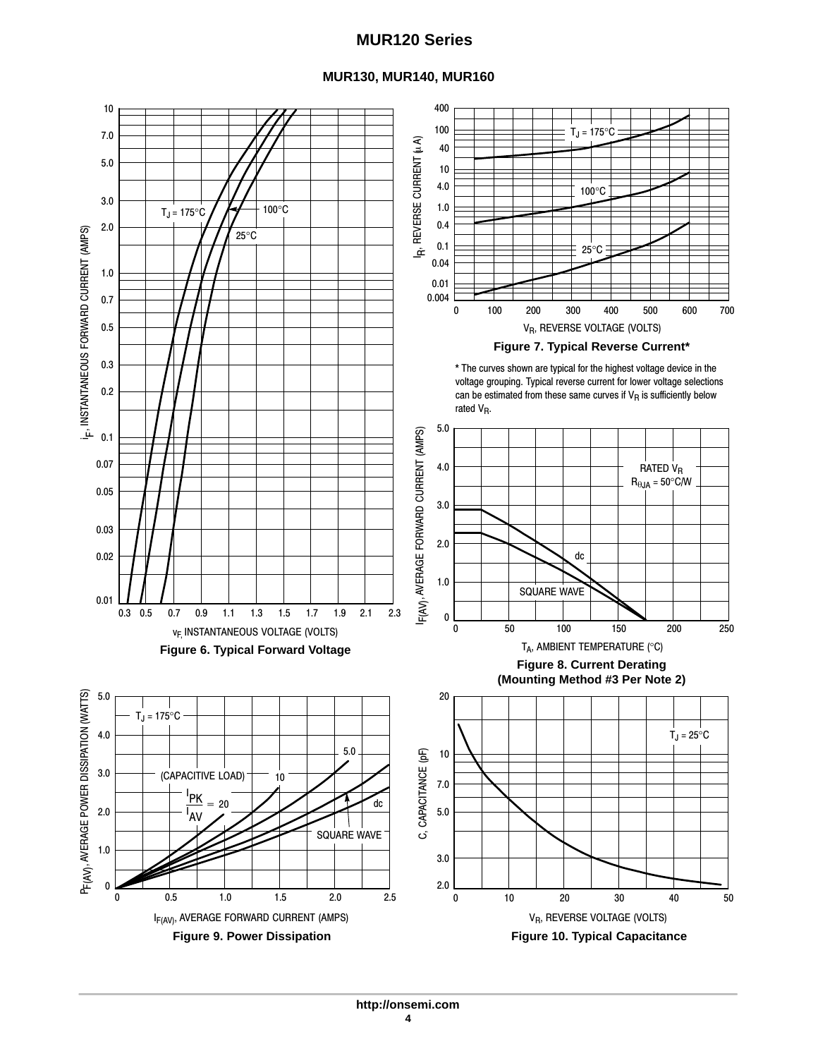### **MUR130, MUR140, MUR160**

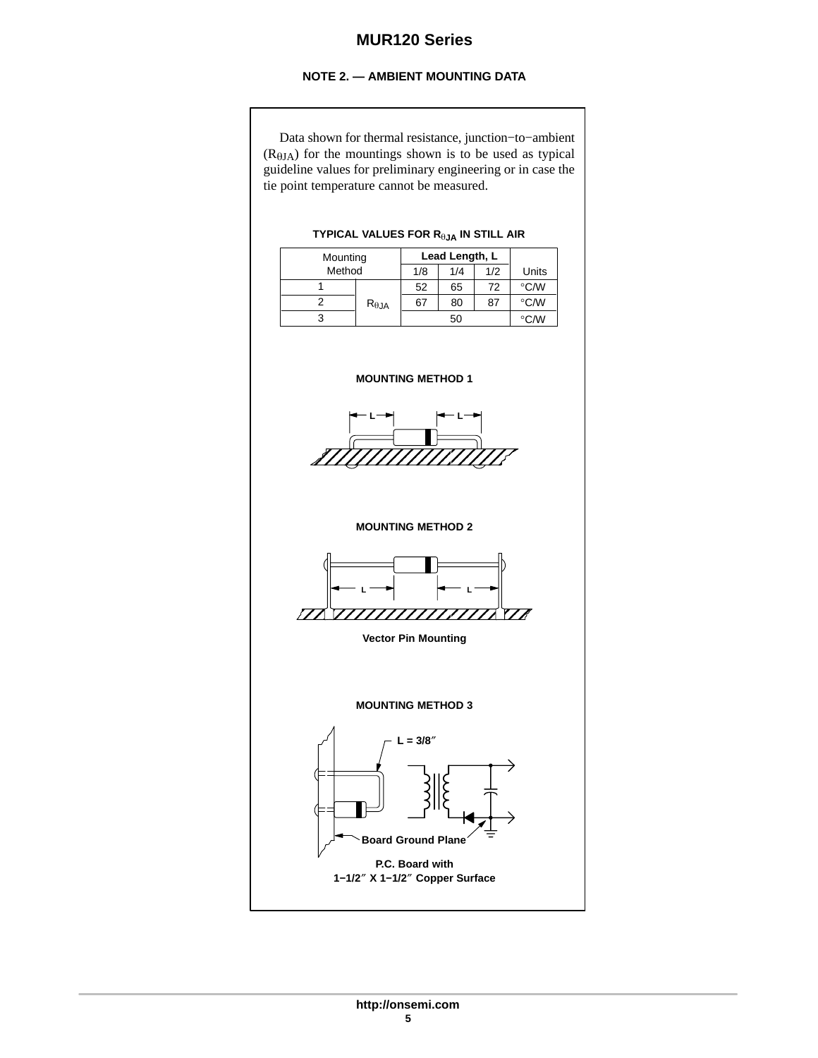### **NOTE 2. — AMBIENT MOUNTING DATA**

Data shown for thermal resistance, junction−to−ambient  $(R<sub>0JA</sub>)$  for the mountings shown is to be used as typical guideline values for preliminary engineering or in case the tie point temperature cannot be measured.

## Mounting **Lead Length, L**<br>Method 1/8 1/4 1/2 Method 1/8 1/4 1/2 Units 1 2 3 52  $R_{\theta$ JA 67 65 72 80 87 50  $\overline{C/W}$  $\mathrm{^{\circ}C}/\mathrm{W}$  $^{\circ}$ C/W **TYPICAL VALUES FOR R**-**JA IN STILL AIR MOUNTING METHOD 1 MOUNTING METHOD 2 MOUNTING METHOD 3** ÉÉÉÉÉÉÉÉÉÉÉ ÉÉÉÉÉÉÉÉÉÉÉ L─<del>►</del> H─L ELÉ VIIIIIIIIIIIIII ÉÉÉÉÉÉÉÉÉÉÉÉ **Vector Pin Mounting L**  $\rightarrow$  **L**  $\lceil \begin{array}{c} \begin{array}{c} \end{array} \begin{array}{c} \end{array} \rceil \end{array}$  **L** = 3/8<sup>"</sup> É L'Albanya di Kabupatén Kabupatén Kabupatén Kabupatén Kabupatén Kabupatén Kabupatén Kabupatén Kabupatén Kabupa

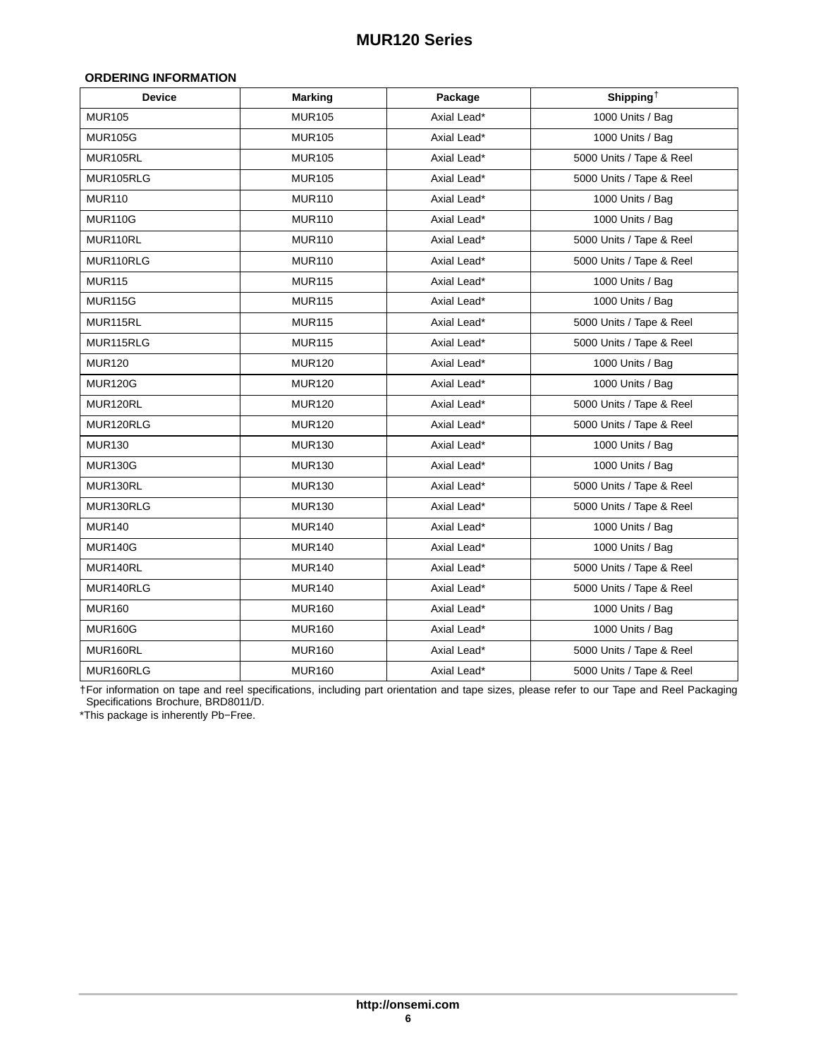#### <span id="page-5-0"></span>**ORDERING INFORMATION**

| <b>Device</b>  | <b>Marking</b> | Package     | Shipping <sup>+</sup>    |
|----------------|----------------|-------------|--------------------------|
| <b>MUR105</b>  | <b>MUR105</b>  | Axial Lead* | 1000 Units / Bag         |
| <b>MUR105G</b> | <b>MUR105</b>  | Axial Lead* | 1000 Units / Bag         |
| MUR105RL       | <b>MUR105</b>  | Axial Lead* | 5000 Units / Tape & Reel |
| MUR105RLG      | <b>MUR105</b>  | Axial Lead* | 5000 Units / Tape & Reel |
| <b>MUR110</b>  | <b>MUR110</b>  | Axial Lead* | 1000 Units / Bag         |
| <b>MUR110G</b> | <b>MUR110</b>  | Axial Lead* | 1000 Units / Bag         |
| MUR110RL       | <b>MUR110</b>  | Axial Lead* | 5000 Units / Tape & Reel |
| MUR110RLG      | <b>MUR110</b>  | Axial Lead* | 5000 Units / Tape & Reel |
| <b>MUR115</b>  | <b>MUR115</b>  | Axial Lead* | 1000 Units / Bag         |
| <b>MUR115G</b> | <b>MUR115</b>  | Axial Lead* | 1000 Units / Bag         |
| MUR115RL       | <b>MUR115</b>  | Axial Lead* | 5000 Units / Tape & Reel |
| MUR115RLG      | <b>MUR115</b>  | Axial Lead* | 5000 Units / Tape & Reel |
| <b>MUR120</b>  | <b>MUR120</b>  | Axial Lead* | 1000 Units / Bag         |
| <b>MUR120G</b> | <b>MUR120</b>  | Axial Lead* | 1000 Units / Bag         |
| MUR120RL       | <b>MUR120</b>  | Axial Lead* | 5000 Units / Tape & Reel |
| MUR120RLG      | <b>MUR120</b>  | Axial Lead* | 5000 Units / Tape & Reel |
| <b>MUR130</b>  | <b>MUR130</b>  | Axial Lead* | 1000 Units / Bag         |
| <b>MUR130G</b> | <b>MUR130</b>  | Axial Lead* | 1000 Units / Bag         |
| MUR130RL       | <b>MUR130</b>  | Axial Lead* | 5000 Units / Tape & Reel |
| MUR130RLG      | <b>MUR130</b>  | Axial Lead* | 5000 Units / Tape & Reel |
| <b>MUR140</b>  | <b>MUR140</b>  | Axial Lead* | 1000 Units / Bag         |
| <b>MUR140G</b> | <b>MUR140</b>  | Axial Lead* | 1000 Units / Bag         |
| MUR140RL       | <b>MUR140</b>  | Axial Lead* | 5000 Units / Tape & Reel |
| MUR140RLG      | <b>MUR140</b>  | Axial Lead* | 5000 Units / Tape & Reel |
| <b>MUR160</b>  | <b>MUR160</b>  | Axial Lead* | 1000 Units / Bag         |
| <b>MUR160G</b> | <b>MUR160</b>  | Axial Lead* | 1000 Units / Bag         |
| MUR160RL       | <b>MUR160</b>  | Axial Lead* | 5000 Units / Tape & Reel |
| MUR160RLG      | <b>MUR160</b>  | Axial Lead* | 5000 Units / Tape & Reel |

†For information on tape and reel specifications, including part orientation and tape sizes, please refer to our Tape and Reel Packaging Specifications Brochure, BRD8011/D.

\*This package is inherently Pb−Free.